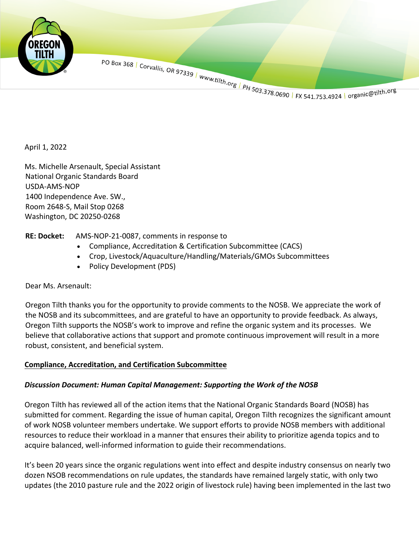

PO Box 368 | Corvallis, OR 97339 | www.tilth.org | PH 503.378.0690 | FX 541.753.4924 | organic@tilth.org

April 1, 2022

Ms. Michelle Arsenault, Special Assistant National Organic Standards Board USDA-AMS-NOP 1400 Independence Ave. SW., Room 2648-S, Mail Stop 0268 Washington, DC 20250-0268

## **RE: Docket:** AMS-NOP-21-0087, comments in response to

- Compliance, Accreditation & Certification Subcommittee (CACS)
- Crop, Livestock/Aquaculture/Handling/Materials/GMOs Subcommittees
- Policy Development (PDS)

Dear Ms. Arsenault:

Oregon Tilth thanks you for the opportunity to provide comments to the NOSB. We appreciate the work of the NOSB and its subcommittees, and are grateful to have an opportunity to provide feedback. As always, Oregon Tilth supports the NOSB's work to improve and refine the organic system and its processes. We believe that collaborative actions that support and promote continuous improvement will result in a more robust, consistent, and beneficial system.

## **Compliance, Accreditation, and Certification Subcommittee**

## *Discussion Document: Human Capital Management: Supporting the Work of the NOSB*

Oregon Tilth has reviewed all of the action items that the National Organic Standards Board (NOSB) has submitted for comment. Regarding the issue of human capital, Oregon Tilth recognizes the significant amount of work NOSB volunteer members undertake. We support efforts to provide NOSB members with additional resources to reduce their workload in a manner that ensures their ability to prioritize agenda topics and to acquire balanced, well-informed information to guide their recommendations.

It's been 20 years since the organic regulations went into effect and despite industry consensus on nearly two dozen NSOB recommendations on rule updates, the standards have remained largely static, with only two updates (the 2010 pasture rule and the 2022 origin of livestock rule) having been implemented in the last two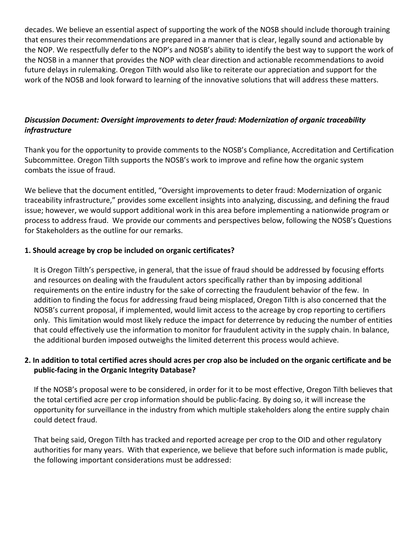decades. We believe an essential aspect of supporting the work of the NOSB should include thorough training that ensures their recommendations are prepared in a manner that is clear, legally sound and actionable by the NOP. We respectfully defer to the NOP's and NOSB's ability to identify the best way to support the work of the NOSB in a manner that provides the NOP with clear direction and actionable recommendations to avoid future delays in rulemaking. Oregon Tilth would also like to reiterate our appreciation and support for the work of the NOSB and look forward to learning of the innovative solutions that will address these matters.

# *Discussion Document: Oversight improvements to deter fraud: Modernization of organic traceability infrastructure*

Thank you for the opportunity to provide comments to the NOSB's Compliance, Accreditation and Certification Subcommittee. Oregon Tilth supports the NOSB's work to improve and refine how the organic system combats the issue of fraud.

We believe that the document entitled, "Oversight improvements to deter fraud: Modernization of organic traceability infrastructure," provides some excellent insights into analyzing, discussing, and defining the fraud issue; however, we would support additional work in this area before implementing a nationwide program or process to address fraud. We provide our comments and perspectives below, following the NOSB's Questions for Stakeholders as the outline for our remarks.

## **1. Should acreage by crop be included on organic certificates?**

It is Oregon Tilth's perspective, in general, that the issue of fraud should be addressed by focusing efforts and resources on dealing with the fraudulent actors specifically rather than by imposing additional requirements on the entire industry for the sake of correcting the fraudulent behavior of the few. In addition to finding the focus for addressing fraud being misplaced, Oregon Tilth is also concerned that the NOSB's current proposal, if implemented, would limit access to the acreage by crop reporting to certifiers only. This limitation would most likely reduce the impact for deterrence by reducing the number of entities that could effectively use the information to monitor for fraudulent activity in the supply chain. In balance, the additional burden imposed outweighs the limited deterrent this process would achieve.

## **2. In addition to total certified acres should acres per crop also be included on the organic certificate and be public-facing in the Organic Integrity Database?**

If the NOSB's proposal were to be considered, in order for it to be most effective, Oregon Tilth believes that the total certified acre per crop information should be public-facing. By doing so, it will increase the opportunity for surveillance in the industry from which multiple stakeholders along the entire supply chain could detect fraud.

That being said, Oregon Tilth has tracked and reported acreage per crop to the OID and other regulatory authorities for many years. With that experience, we believe that before such information is made public, the following important considerations must be addressed: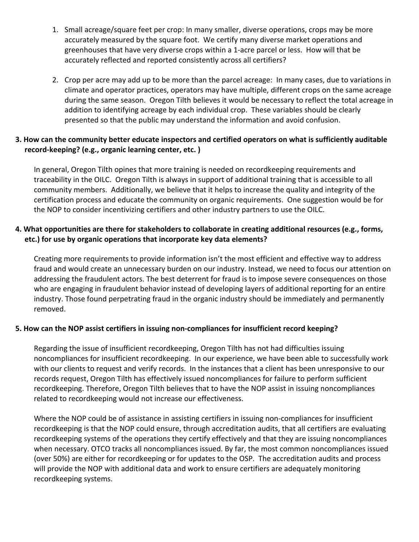- 1. Small acreage/square feet per crop: In many smaller, diverse operations, crops may be more accurately measured by the square foot. We certify many diverse market operations and greenhouses that have very diverse crops within a 1-acre parcel or less. How will that be accurately reflected and reported consistently across all certifiers?
- 2. Crop per acre may add up to be more than the parcel acreage: In many cases, due to variations in climate and operator practices, operators may have multiple, different crops on the same acreage during the same season. Oregon Tilth believes it would be necessary to reflect the total acreage in addition to identifying acreage by each individual crop. These variables should be clearly presented so that the public may understand the information and avoid confusion.

## **3. How can the community better educate inspectors and certified operators on what is sufficiently auditable record-keeping? (e.g., organic learning center, etc. )**

In general, Oregon Tilth opines that more training is needed on recordkeeping requirements and traceability in the OILC. Oregon Tilth is always in support of additional training that is accessible to all community members. Additionally, we believe that it helps to increase the quality and integrity of the certification process and educate the community on organic requirements. One suggestion would be for the NOP to consider incentivizing certifiers and other industry partners to use the OILC.

## **4. What opportunities are there for stakeholders to collaborate in creating additional resources (e.g., forms, etc.) for use by organic operations that incorporate key data elements?**

Creating more requirements to provide information isn't the most efficient and effective way to address fraud and would create an unnecessary burden on our industry. Instead, we need to focus our attention on addressing the fraudulent actors. The best deterrent for fraud is to impose severe consequences on those who are engaging in fraudulent behavior instead of developing layers of additional reporting for an entire industry. Those found perpetrating fraud in the organic industry should be immediately and permanently removed.

## **5. How can the NOP assist certifiers in issuing non-compliances for insufficient record keeping?**

Regarding the issue of insufficient recordkeeping, Oregon Tilth has not had difficulties issuing noncompliances for insufficient recordkeeping. In our experience, we have been able to successfully work with our clients to request and verify records. In the instances that a client has been unresponsive to our records request, Oregon Tilth has effectively issued noncompliances for failure to perform sufficient recordkeeping. Therefore, Oregon Tilth believes that to have the NOP assist in issuing noncompliances related to recordkeeping would not increase our effectiveness.

Where the NOP could be of assistance in assisting certifiers in issuing non-compliances for insufficient recordkeeping is that the NOP could ensure, through accreditation audits, that all certifiers are evaluating recordkeeping systems of the operations they certify effectively and that they are issuing noncompliances when necessary. OTCO tracks all noncompliances issued. By far, the most common noncompliances issued (over 50%) are either for recordkeeping or for updates to the OSP. The accreditation audits and process will provide the NOP with additional data and work to ensure certifiers are adequately monitoring recordkeeping systems.